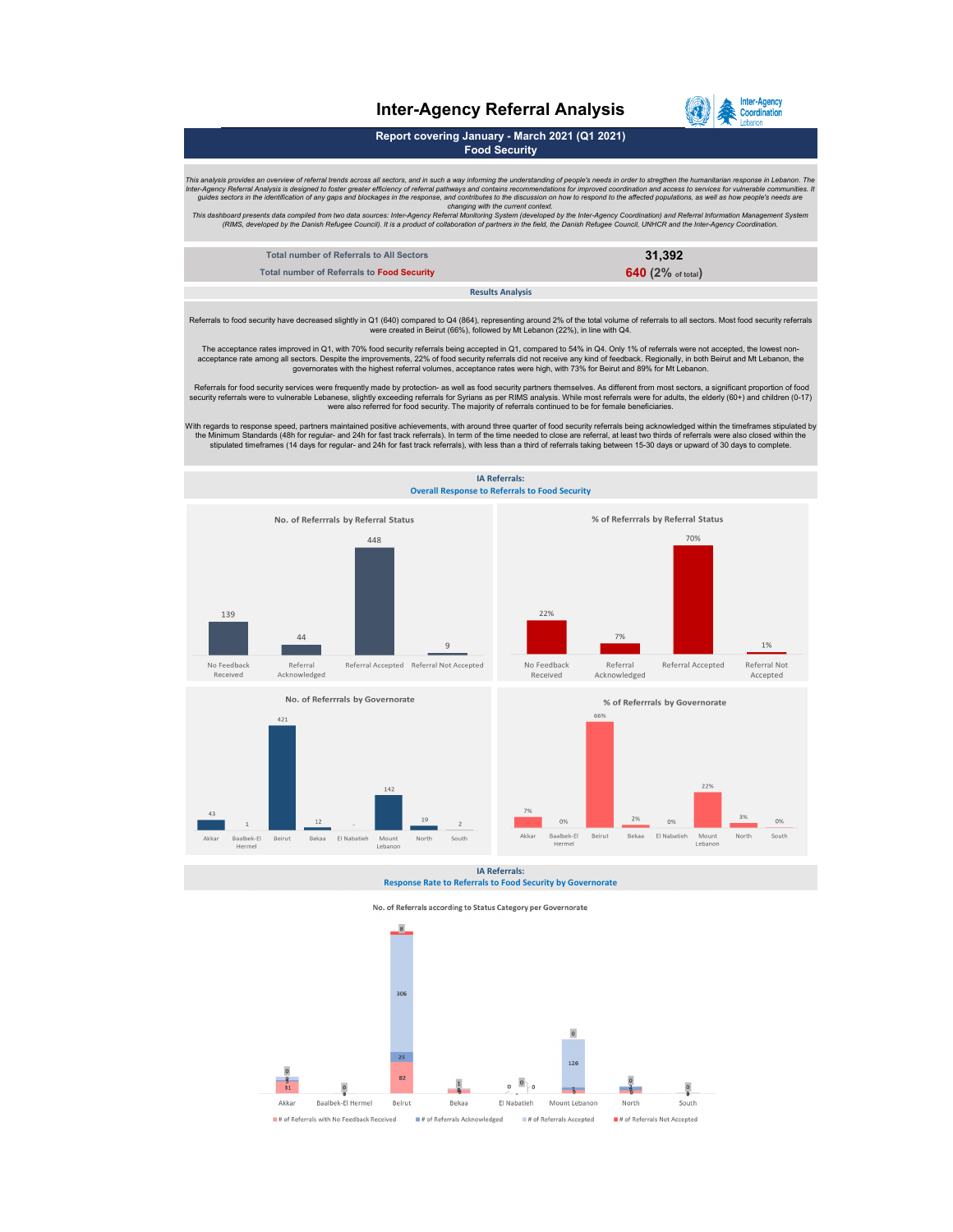## **Inter-Agency Referral Analysis**



**Report covering January - March 2021 (Q1 2021) Food Security**

This analysis provides an overview of referral trends across all sectors, and in such a way informing the understanding of people's needs in order to stregthen the humanitarian response in Lebanon. The humanitarian respons

| Total number of Referrals to All Sectors   | 31.392                       |
|--------------------------------------------|------------------------------|
| Total number of Referrals to Food Security | 640 $(2\% \text{ of total})$ |
| <b>Results Analysis</b>                    |                              |

Referrals to food security have decreased slightly in Q1 (640) compared to Q4 (864), representing around 2% of the total volume of referrals to all sectors. Most food security referrals<br>were created in Beirut (66%), follow

The acceptance rates improved in Q1, with 70% food security referrals being accepted in Q1, compared to 54% in Q4. Only 1% of referrals were not accepted, the lowest non-<br>acceptance rate among all sectors. Despite the impr

Referrals for food security services were frequently made by protection- as well as food security partners themselves. As different from most sectors, a significant proportion of food<br>Security referrals were to vulnerable

With regards to response speed, partners maintained positive achievements, with around three quarter of food security referrals being acknowledged within the timeframes stipulated by<br>the Minimum Standards (48h for regular-

**IA Referrals:**





**IA Referrals: Response Rate to Referrals to Food Security by Governorate**



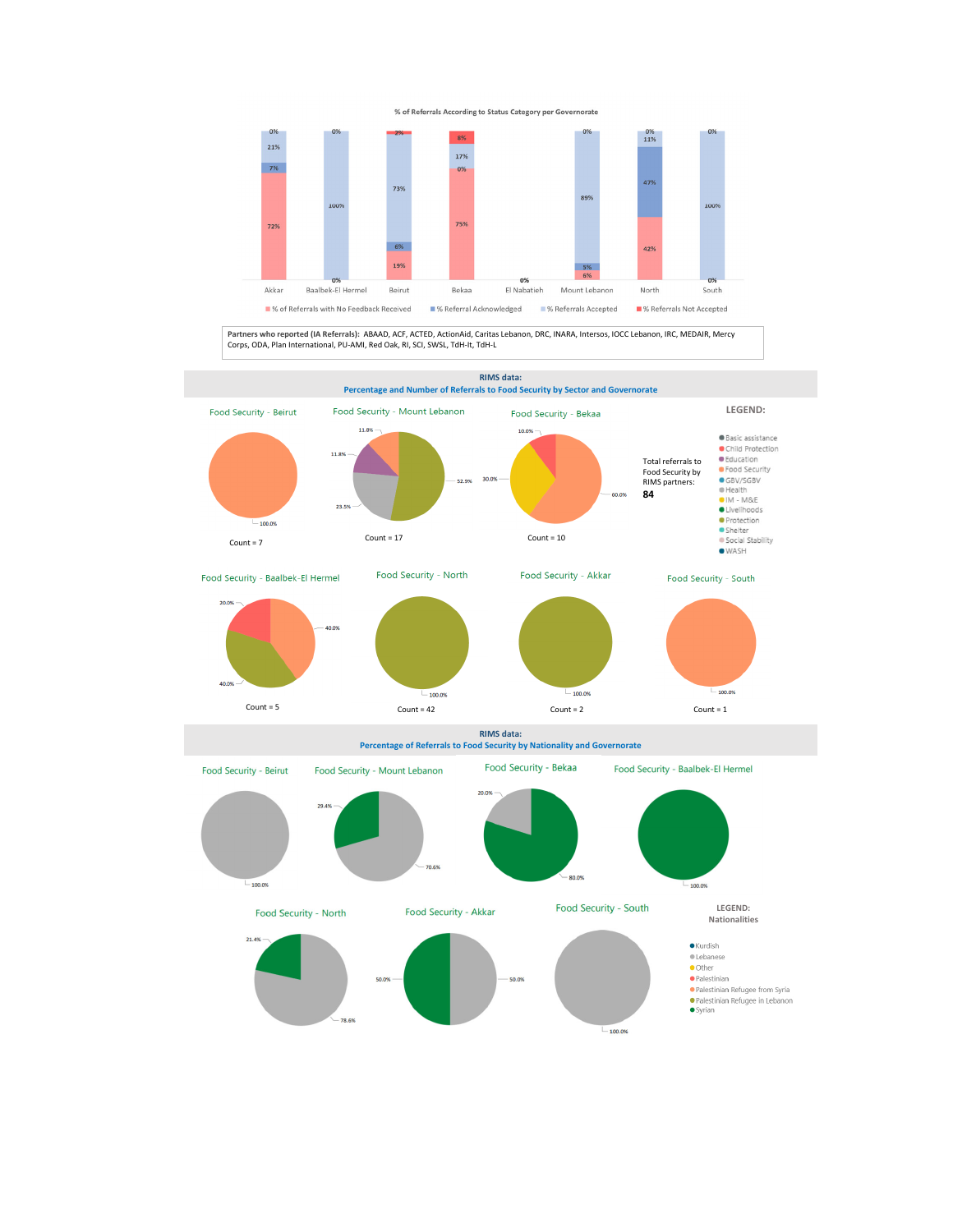



**Partners who reported (IA Referrals):** ABAAD, ACF, ACTED, ActionAid, Caritas Lebanon, DRC, INARA, Intersos, IOCC Lebanon, IRC, MEDAIR, Mercy Corps, ODA, Plan International, PU‐AMI, Red Oak, RI, SCI, SWSL, TdH‐It, TdH‐L

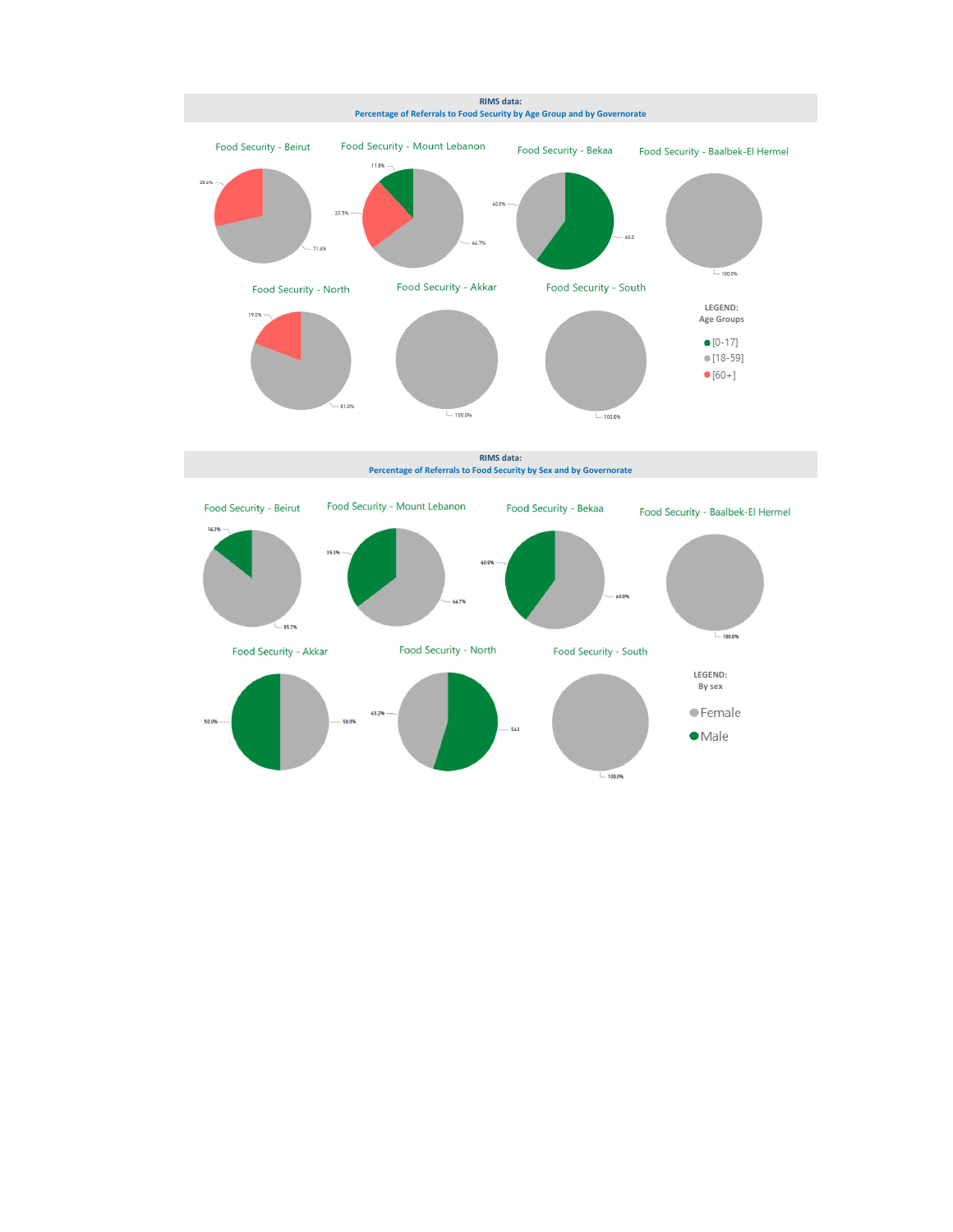

**RIMS data: Percentage of Referrals to Food Security by Sex and by Governorate**